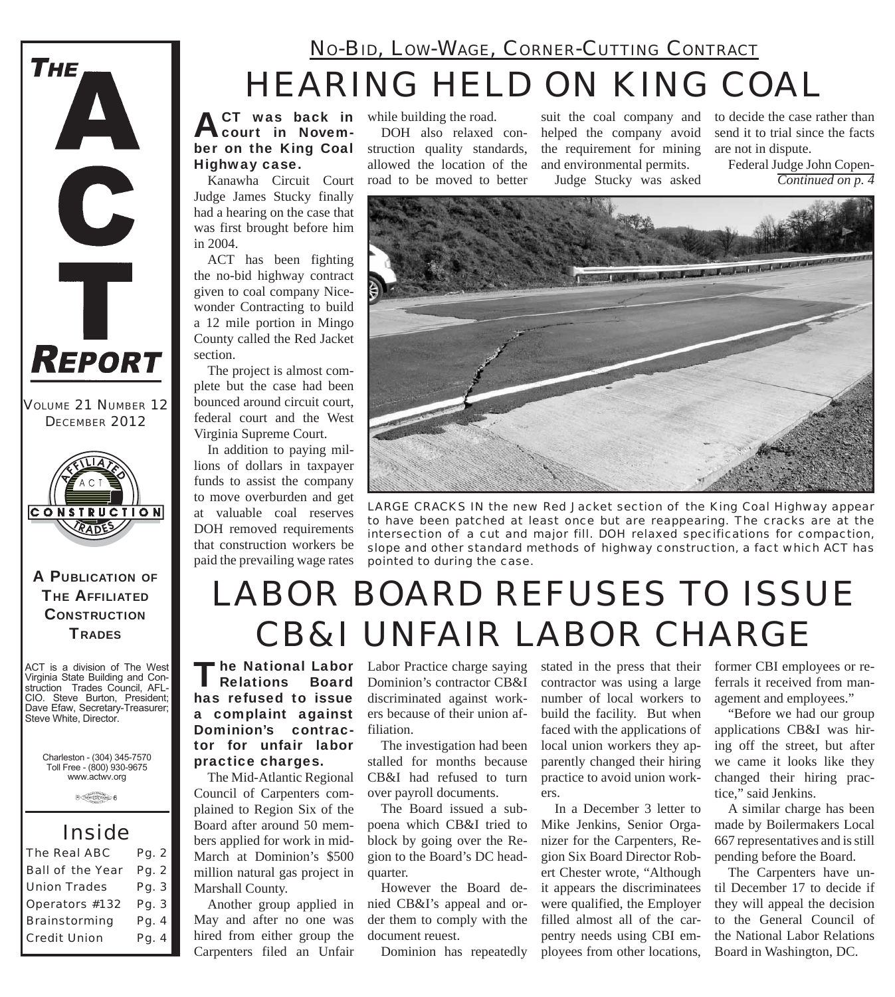

*VOLUME 21 NUMBER 12 DECEMBER 2012*



A PUBLICATION OF **THE AFFILIATED CONSTRUCTION TRADES** 

ACT is a division of The West Virginia State Building and Construction Trades Council, AFL-CIO. Steve Burton, President; Dave Efaw, Secretary-Treasurer; Steve White, Director.

Charleston - (304) 345-7570 Toll Free - (800) 930-9675 www.actwv.org

 $\theta$  (restrictions)  $6$ 

#### *Inside*

| <b>The Real ABC</b>     | Pq. 2 |
|-------------------------|-------|
| <b>Ball of the Year</b> | Pq. 2 |
| <b>Union Trades</b>     | Pg. 3 |
| Operators #132          | Pg. 3 |
| <b>Brainstorming</b>    | Pg. 4 |
| <b>Credit Union</b>     | Pg. 4 |

## *HEARING HELD ON KING COAL NO-BID, LOW-WAGE, CORNER-CUTTING CONTRACT*

**ACT** was back in<br>
court in November on the King Coal Highway case. **CT** was back in while building the road.

Kanawha Circuit Court Judge James Stucky finally had a hearing on the case that was first brought before him in 2004.

ACT has been fighting the no-bid highway contract given to coal company Nicewonder Contracting to build a 12 mile portion in Mingo County called the Red Jacket section.

The project is almost complete but the case had been bounced around circuit court, federal court and the West Virginia Supreme Court.

In addition to paying millions of dollars in taxpayer funds to assist the company to move overburden and get at valuable coal reserves DOH removed requirements that construction workers be paid the prevailing wage rates

DOH also relaxed construction quality standards, allowed the location of the road to be moved to better

suit the coal company and helped the company avoid the requirement for mining and environmental permits. Judge Stucky was asked

to decide the case rather than send it to trial since the facts are not in dispute.

Federal Judge John Copen-*Continued on p. 4*



*LARGE CRACKS IN the new Red Jacket section of the King Coal Highway appear to have been patched at least once but are reappearing. The cracks are at the intersection of a cut and major fill. DOH relaxed specifications for compaction, slope and other standard methods of highway construction, a fact which ACT has pointed to during the case.*

# *LABOR BOARD REFUSES TO ISSUE CB&I UNFAIR LABOR CHARGE*

The National Labor<br>Relations Board has refused to issue a complaint against Dominion's contractor for unfair labor practice charges.

The Mid-Atlantic Regional Council of Carpenters complained to Region Six of the Board after around 50 members applied for work in mid-March at Dominion's \$500 million natural gas project in Marshall County.

Another group applied in May and after no one was hired from either group the Carpenters filed an Unfair

Labor Practice charge saying Dominion's contractor CB&I discriminated against workers because of their union affiliation.

The investigation had been stalled for months because CB&I had refused to turn over payroll documents.

The Board issued a subpoena which CB&I tried to block by going over the Region to the Board's DC headquarter.

However the Board denied CB&I's appeal and order them to comply with the document reuest.

Dominion has repeatedly

stated in the press that their contractor was using a large number of local workers to build the facility. But when faced with the applications of local union workers they apparently changed their hiring practice to avoid union workers

In a December 3 letter to Mike Jenkins, Senior Organizer for the Carpenters, Region Six Board Director Robert Chester wrote, "Although it appears the discriminatees were qualified, the Employer filled almost all of the carpentry needs using CBI employees from other locations,

former CBI employees or referrals it received from management and employees."

"Before we had our group applications CB&I was hiring off the street, but after we came it looks like they changed their hiring practice," said Jenkins.

A similar charge has been made by Boilermakers Local 667 representatives and is still pending before the Board.

The Carpenters have until December 17 to decide if they will appeal the decision to the General Council of the National Labor Relations Board in Washington, DC.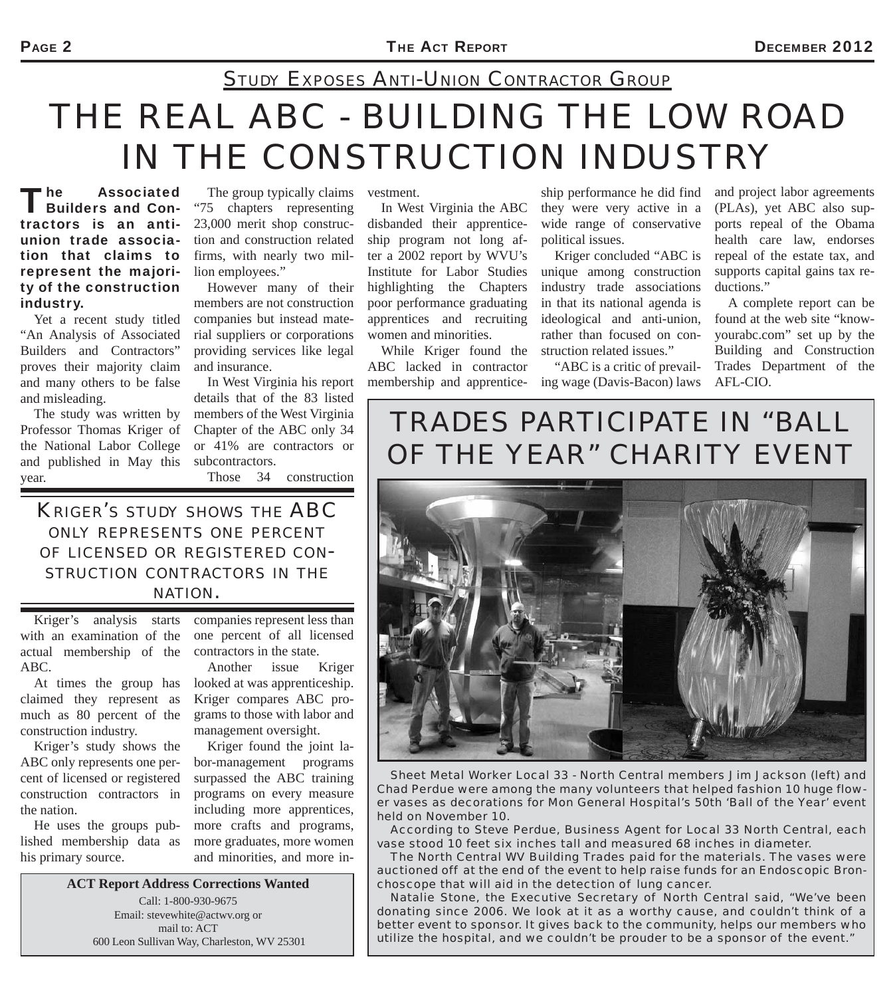### *STUDY EXPOSES ANTI-UNION CONTRACTOR GROUP*

# *THE REAL ABC - BUILDING THE LOW ROAD IN THE CONSTRUCTION INDUSTRY*

The Associated<br>Builders and Contractors is an antiunion trade association that claims to represent the majority of the construction industry.

Yet a recent study titled "An Analysis of Associated Builders and Contractors" proves their majority claim and many others to be false and misleading.

The study was written by Professor Thomas Kriger of the National Labor College and published in May this year.

The group typically claims "75 chapters representing 23,000 merit shop construction and construction related firms, with nearly two million employees."

However many of their members are not construction companies but instead material suppliers or corporations providing services like legal and insurance.

In West Virginia his report details that of the 83 listed members of the West Virginia Chapter of the ABC only 34 or 41% are contractors or subcontractors.

Those 34 construction

*KRIGER'S STUDY SHOWS THE ABC ONLY REPRESENTS ONE PERCENT OF LICENSED OR REGISTERED CON-STRUCTION CONTRACTORS IN THE NATION.*

Kriger's analysis starts with an examination of the actual membership of the ABC.

At times the group has claimed they represent as much as 80 percent of the construction industry.

Kriger's study shows the ABC only represents one percent of licensed or registered construction contractors in the nation.

He uses the groups published membership data as his primary source.

companies represent less than one percent of all licensed contractors in the state. Another issue Kriger

looked at was apprenticeship. Kriger compares ABC programs to those with labor and management oversight.

Kriger found the joint labor-management programs surpassed the ABC training programs on every measure including more apprentices, more crafts and programs, more graduates, more women and minorities, and more in-

**ACT Report Address Corrections Wanted** Call: 1-800-930-9675 Email: stevewhite@actwv.org or mail to: ACT 600 Leon Sullivan Way, Charleston, WV 25301

vestment.

In West Virginia the ABC disbanded their apprenticeship program not long after a 2002 report by WVU's Institute for Labor Studies highlighting the Chapters poor performance graduating apprentices and recruiting women and minorities.

While Kriger found the ABC lacked in contractor membership and apprentice-

ship performance he did find they were very active in a wide range of conservative political issues.

Kriger concluded "ABC is unique among construction industry trade associations in that its national agenda is ideological and anti-union, rather than focused on construction related issues."

"ABC is a critic of prevailing wage (Davis-Bacon) laws

and project labor agreements (PLAs), yet ABC also supports repeal of the Obama health care law, endorses repeal of the estate tax, and supports capital gains tax reductions."

A complete report can be found at the web site "knowyourabc.com" set up by the Building and Construction Trades Department of the AFL-CIO.

### *TRADES PARTICIPATE IN "BALL OF THE YEAR" CHARITY EVENT*



*Sheet Metal Worker Local 33 - North Central members Jim Jackson (left) and Chad Perdue were among the many volunteers that helped fashion 10 huge flower vases as decorations for Mon General Hospital's 50th 'Ball of the Year' event held on November 10.*

*According to Steve Perdue, Business Agent for Local 33 North Central, each vase stood 10 feet six inches tall and measured 68 inches in diameter.* 

*The North Central WV Building Trades paid for the materials. The vases were auctioned off at the end of the event to help raise funds for an Endoscopic Bronchoscope that will aid in the detection of lung cancer.*

*Natalie Stone, the Executive Secretary of North Central said, "We've been donating since 2006. We look at it as a worthy cause, and couldn't think of a better event to sponsor. It gives back to the community, helps our members who utilize the hospital, and we couldn't be prouder to be a sponsor of the event."*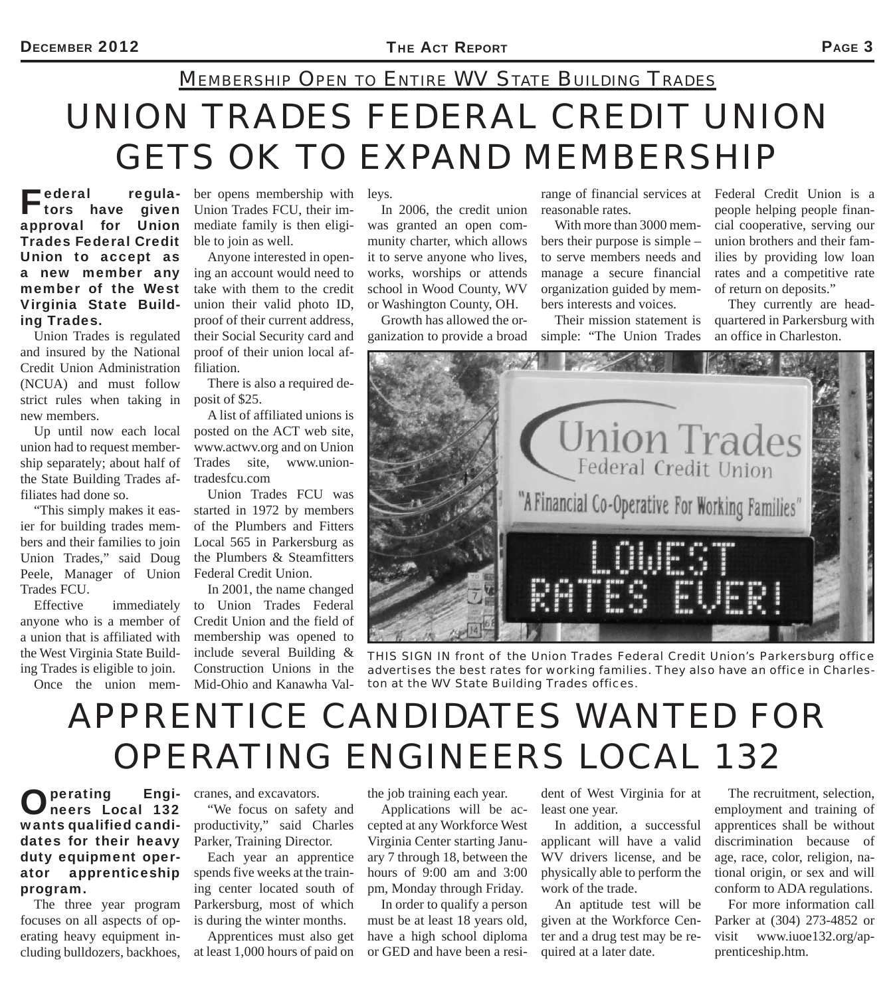## *UNION TRADES FEDERAL CREDIT UNION GETS OK TO EXPAND MEMBERSHIP MEMBERSHIP OPEN TO ENTIRE WV STATE BUILDING TRADES*

Federal regula-<br>
tors have given approval for Union Trades Federal Credit Union to accept as a new member any member of the West Virginia State Building Trades.

Union Trades is regulated and insured by the National Credit Union Administration (NCUA) and must follow strict rules when taking in new members.

Up until now each local union had to request membership separately; about half of the State Building Trades affiliates had done so.

"This simply makes it easier for building trades members and their families to join Union Trades," said Doug Peele, Manager of Union Trades FCU.

Effective immediately anyone who is a member of a union that is affiliated with the West Virginia State Building Trades is eligible to join.

Once the union mem-

ber opens membership with leys. Union Trades FCU, their immediate family is then eligible to join as well.

Anyone interested in opening an account would need to take with them to the credit union their valid photo ID, proof of their current address, their Social Security card and proof of their union local affiliation.

There is also a required deposit of \$25.

A list of affiliated unions is posted on the ACT web site, www.actwv.org and on Union Trades site, www.uniontradesfcu.com

Union Trades FCU was started in 1972 by members of the Plumbers and Fitters Local 565 in Parkersburg as the Plumbers & Steamfitters Federal Credit Union.

In 2001, the name changed to Union Trades Federal Credit Union and the field of membership was opened to include several Building & Construction Unions in the Mid-Ohio and Kanawha Val-

In 2006, the credit union was granted an open community charter, which allows it to serve anyone who lives, works, worships or attends school in Wood County, WV or Washington County, OH.

Growth has allowed the organization to provide a broad

range of financial services at Federal Credit Union is a reasonable rates.

With more than 3000 members their purpose is simple – to serve members needs and manage a secure financial organization guided by members interests and voices.

Their mission statement is simple: "The Union Trades

people helping people financial cooperative, serving our union brothers and their families by providing low loan rates and a competitive rate of return on deposits."

They currently are headquartered in Parkersburg with an office in Charleston.



*THIS SIGN IN front of the Union Trades Federal Credit Union's Parkersburg office advertises the best rates for working families. They also have an office in Charleston at the WV State Building Trades offices.*

# *APPRENTICE CANDIDATES WANTED FOR OPERATING ENGINEERS LOCAL 132*

#### Operating Engi-neers Local 132 wants qualified candidates for their heavy duty equipment operator apprenticeship program.

The three year program focuses on all aspects of operating heavy equipment including bulldozers, backhoes, cranes, and excavators.

"We focus on safety and productivity," said Charles Parker, Training Director.

Each year an apprentice spends five weeks at the training center located south of Parkersburg, most of which is during the winter months.

Apprentices must also get at least 1,000 hours of paid on

the job training each year.

Applications will be accepted at any Workforce West Virginia Center starting January 7 through 18, between the hours of 9:00 am and 3:00 pm, Monday through Friday.

In order to qualify a person must be at least 18 years old, have a high school diploma or GED and have been a resi-

dent of West Virginia for at least one year.

In addition, a successful applicant will have a valid WV drivers license, and be physically able to perform the work of the trade.

An aptitude test will be given at the Workforce Center and a drug test may be required at a later date.

The recruitment, selection, employment and training of apprentices shall be without discrimination because of age, race, color, religion, national origin, or sex and will conform to ADA regulations.

For more information call Parker at (304) 273-4852 or visit www.iuoe132.org/apprenticeship.htm.